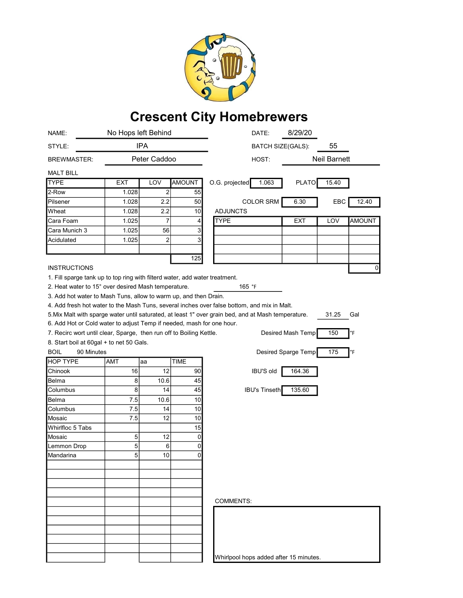

## Crescent City Homebrewers

| NAME:                                                                                                               | No Hops left Behind |                |                | DATE:                    | 8/29/20              |                     |       |        |
|---------------------------------------------------------------------------------------------------------------------|---------------------|----------------|----------------|--------------------------|----------------------|---------------------|-------|--------|
| STYLE:                                                                                                              | <b>IPA</b>          |                |                | <b>BATCH SIZE(GALS):</b> |                      | 55                  |       |        |
| <b>BREWMASTER:</b>                                                                                                  | Peter Caddoo        |                |                | HOST:                    |                      | <b>Neil Barnett</b> |       |        |
| <b>MALT BILL</b>                                                                                                    |                     |                |                |                          |                      |                     |       |        |
| <b>TYPE</b>                                                                                                         | <b>EXT</b>          | LOV            | <b>AMOUNT</b>  | O.G. projected           | 1.063                | <b>PLATO</b>        | 15.40 |        |
| 2-Row                                                                                                               | 1.028               | 2              | 55             |                          |                      |                     |       |        |
| Pilsener                                                                                                            | 1.028               | 2.2            | 50             |                          | <b>COLOR SRM</b>     | 6.30                | EBC   | 12.40  |
| Wheat                                                                                                               | 1.028               | 2.2            | 10             | <b>ADJUNCTS</b>          |                      |                     |       |        |
| Cara Foam                                                                                                           | 1.025               | 7              | 4              | <b>TYPE</b>              |                      | <b>EXT</b>          | LOV   | AMOUNT |
| Cara Munich 3                                                                                                       | 1.025               | 56             | 3              |                          |                      |                     |       |        |
| Acidulated                                                                                                          | 1.025               | $\overline{c}$ | 3              |                          |                      |                     |       |        |
|                                                                                                                     |                     |                |                |                          |                      |                     |       |        |
|                                                                                                                     |                     |                | 125            |                          |                      |                     |       |        |
| <b>INSTRUCTIONS</b>                                                                                                 |                     |                |                |                          |                      |                     |       | 0      |
| 1. Fill sparge tank up to top ring with filterd water, add water treatment.                                         |                     |                |                |                          |                      |                     |       |        |
| 2. Heat water to 15° over desired Mash temperature.                                                                 |                     |                |                | 165 $\degree$ F          |                      |                     |       |        |
| 3. Add hot water to Mash Tuns, allow to warm up, and then Drain.                                                    |                     |                |                |                          |                      |                     |       |        |
| 4. Add fresh hot water to the Mash Tuns, several inches over false bottom, and mix in Malt.                         |                     |                |                |                          |                      |                     |       |        |
| 5. Mix Malt with sparge water until saturated, at least 1" over grain bed, and at Mash temperature.<br>31.25<br>Gal |                     |                |                |                          |                      |                     |       |        |
| 6. Add Hot or Cold water to adjust Temp if needed, mash for one hour.                                               |                     |                |                |                          |                      |                     |       |        |
| 7. Recirc wort until clear, Sparge, then run off to Boiling Kettle.                                                 |                     |                |                |                          |                      | Desired Mash Temp   | 150   | °F     |
| 8. Start boil at 60gal + to net 50 Gals.                                                                            |                     |                |                |                          |                      |                     |       |        |
| <b>BOIL</b><br>90 Minutes                                                                                           |                     |                |                |                          |                      | Desired Sparge Temp | 175   | °F     |
| <b>HOP TYPE</b>                                                                                                     |                     |                |                |                          |                      |                     |       |        |
|                                                                                                                     | AMT                 | aa             | <b>TIME</b>    |                          |                      |                     |       |        |
| Chinook                                                                                                             | 16                  | 12             | 90             |                          | <b>IBU'S old</b>     | 164.36              |       |        |
| Belma                                                                                                               | 8                   | 10.6           | 45             |                          |                      |                     |       |        |
| Columbus                                                                                                            | 8                   | 14             | 45             |                          | <b>IBU's Tinseth</b> | 135.60              |       |        |
| Belma                                                                                                               | 7.5                 | 10.6           | 10             |                          |                      |                     |       |        |
| Columbus                                                                                                            | 7.5                 | 14             | 10             |                          |                      |                     |       |        |
| Mosaic                                                                                                              | 7.5                 | 12             | 10             |                          |                      |                     |       |        |
| Whirlfloc 5 Tabs                                                                                                    |                     |                | 15             |                          |                      |                     |       |        |
| Mosaic                                                                                                              | 5                   | 12             | $\overline{0}$ |                          |                      |                     |       |        |
| Lemmon Drop                                                                                                         | 5                   | 6              | $\overline{0}$ |                          |                      |                     |       |        |
| lMandarina                                                                                                          | 5                   | 10             | 0              |                          |                      |                     |       |        |
|                                                                                                                     |                     |                |                |                          |                      |                     |       |        |
|                                                                                                                     |                     |                |                |                          |                      |                     |       |        |
|                                                                                                                     |                     |                |                |                          |                      |                     |       |        |
|                                                                                                                     |                     |                |                |                          |                      |                     |       |        |
|                                                                                                                     |                     |                |                | <b>COMMENTS:</b>         |                      |                     |       |        |
|                                                                                                                     |                     |                |                |                          |                      |                     |       |        |
|                                                                                                                     |                     |                |                |                          |                      |                     |       |        |
|                                                                                                                     |                     |                |                |                          |                      |                     |       |        |
|                                                                                                                     |                     |                |                |                          |                      |                     |       |        |
|                                                                                                                     |                     |                |                |                          |                      |                     |       |        |